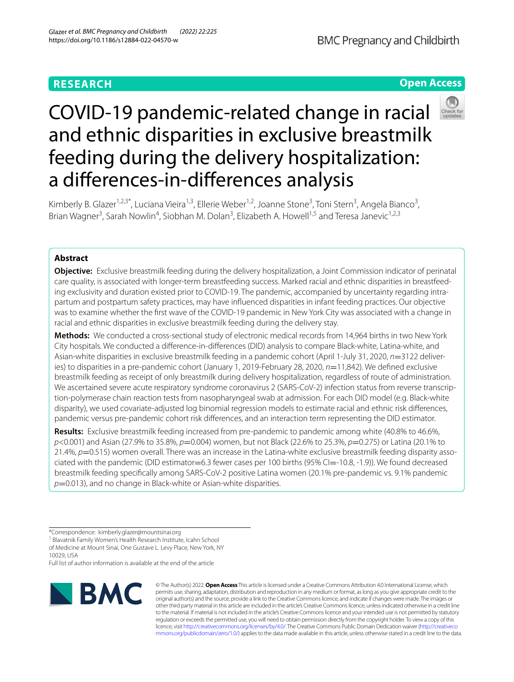# **RESEARCH**

**Open Access**

# COVID-19 pandemic-related change in racial and ethnic disparities in exclusive breastmilk feeding during the delivery hospitalization: a diferences-in-diferences analysis



Kimberly B. Glazer<sup>1,2,3\*</sup>, Luciana Vieira<sup>1,3</sup>, Ellerie Weber<sup>1,2</sup>, Joanne Stone<sup>3</sup>, Toni Stern<sup>3</sup>, Angela Bianco<sup>3</sup>, Brian Wagner<sup>3</sup>, Sarah Nowlin<sup>4</sup>, Siobhan M. Dolan<sup>3</sup>, Elizabeth A. Howell<sup>1,5</sup> and Teresa Janevic<sup>1,2,3</sup>

## **Abstract**

**Objective:** Exclusive breastmilk feeding during the delivery hospitalization, a Joint Commission indicator of perinatal care quality, is associated with longer-term breastfeeding success. Marked racial and ethnic disparities in breastfeeding exclusivity and duration existed prior to COVID-19. The pandemic, accompanied by uncertainty regarding intrapartum and postpartum safety practices, may have infuenced disparities in infant feeding practices. Our objective was to examine whether the frst wave of the COVID-19 pandemic in New York City was associated with a change in racial and ethnic disparities in exclusive breastmilk feeding during the delivery stay.

**Methods:** We conducted a cross-sectional study of electronic medical records from 14,964 births in two New York City hospitals. We conducted a diference-in-diferences (DID) analysis to compare Black-white, Latina-white, and Asian-white disparities in exclusive breastmilk feeding in a pandemic cohort (April 1-July 31, 2020, *n*=3122 deliveries) to disparities in a pre-pandemic cohort (January 1, 2019-February 28, 2020,  $n=11,842$ ). We defined exclusive breastmilk feeding as receipt of only breastmilk during delivery hospitalization, regardless of route of administration. We ascertained severe acute respiratory syndrome coronavirus 2 (SARS-CoV-2) infection status from reverse transcription-polymerase chain reaction tests from nasopharyngeal swab at admission. For each DID model (e.g. Black-white disparity), we used covariate-adjusted log binomial regression models to estimate racial and ethnic risk diferences, pandemic versus pre-pandemic cohort risk diferences, and an interaction term representing the DID estimator.

**Results:** Exclusive breastmilk feeding increased from pre-pandemic to pandemic among white (40.8% to 46.6%, *p*<0.001) and Asian (27.9% to 35.8%, *p*=0.004) women, but not Black (22.6% to 25.3%, *p*=0.275) or Latina (20.1% to 21.4%, *p*=0.515) women overall. There was an increase in the Latina-white exclusive breastmilk feeding disparity associated with the pandemic (DID estimator=6.3 fewer cases per 100 births (95% CI=-10.8, -1.9)). We found decreased breastmilk feeding specifcally among SARS-CoV-2 positive Latina women (20.1% pre-pandemic vs. 9.1% pandemic p=0.013), and no change in Black-white or Asian-white disparities.

<sup>1</sup> Blavatnik Family Women's Health Research Institute, Icahn School of Medicine at Mount Sinai, One Gustave L. Levy Place, New York, NY 10029, USA

Full list of author information is available at the end of the article



© The Author(s) 2022. **Open Access** This article is licensed under a Creative Commons Attribution 4.0 International License, which permits use, sharing, adaptation, distribution and reproduction in any medium or format, as long as you give appropriate credit to the original author(s) and the source, provide a link to the Creative Commons licence, and indicate if changes were made. The images or other third party material in this article are included in the article's Creative Commons licence, unless indicated otherwise in a credit line to the material. If material is not included in the article's Creative Commons licence and your intended use is not permitted by statutory regulation or exceeds the permitted use, you will need to obtain permission directly from the copyright holder. To view a copy of this licence, visit [http://creativecommons.org/licenses/by/4.0/.](http://creativecommons.org/licenses/by/4.0/) The Creative Commons Public Domain Dedication waiver ([http://creativeco](http://creativecommons.org/publicdomain/zero/1.0/) [mmons.org/publicdomain/zero/1.0/](http://creativecommons.org/publicdomain/zero/1.0/)) applies to the data made available in this article, unless otherwise stated in a credit line to the data.

<sup>\*</sup>Correspondence: kimberly.glazer@mountsinai.org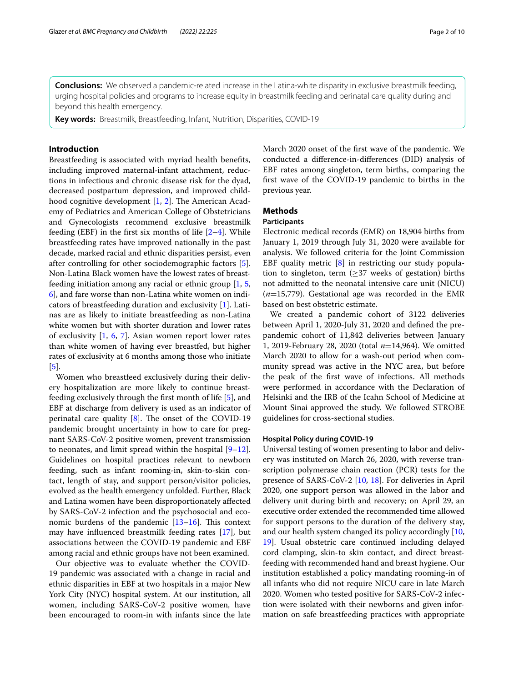**Conclusions:** We observed a pandemic-related increase in the Latina-white disparity in exclusive breastmilk feeding, urging hospital policies and programs to increase equity in breastmilk feeding and perinatal care quality during and beyond this health emergency.

**Key words:** Breastmilk, Breastfeeding, Infant, Nutrition, Disparities, COVID-19

## **Introduction**

Breastfeeding is associated with myriad health benefts, including improved maternal-infant attachment, reductions in infectious and chronic disease risk for the dyad, decreased postpartum depression, and improved childhood cognitive development  $[1, 2]$  $[1, 2]$  $[1, 2]$  $[1, 2]$ . The American Academy of Pediatrics and American College of Obstetricians and Gynecologists recommend exclusive breastmilk feeding (EBF) in the first six months of life  $[2-4]$  $[2-4]$ . While breastfeeding rates have improved nationally in the past decade, marked racial and ethnic disparities persist, even after controlling for other sociodemographic factors [\[5](#page-8-3)]. Non-Latina Black women have the lowest rates of breastfeeding initiation among any racial or ethnic group [\[1](#page-8-0), [5](#page-8-3), [6\]](#page-8-4), and fare worse than non-Latina white women on indicators of breastfeeding duration and exclusivity [[1\]](#page-8-0). Latinas are as likely to initiate breastfeeding as non-Latina white women but with shorter duration and lower rates of exclusivity [\[1](#page-8-0), [6,](#page-8-4) [7\]](#page-8-5). Asian women report lower rates than white women of having ever breastfed, but higher rates of exclusivity at 6 months among those who initiate [[5\]](#page-8-3).

Women who breastfeed exclusively during their delivery hospitalization are more likely to continue breastfeeding exclusively through the frst month of life [[5\]](#page-8-3), and EBF at discharge from delivery is used as an indicator of perinatal care quality  $[8]$  $[8]$ . The onset of the COVID-19 pandemic brought uncertainty in how to care for pregnant SARS-CoV-2 positive women, prevent transmission to neonates, and limit spread within the hospital  $[9-12]$  $[9-12]$ . Guidelines on hospital practices relevant to newborn feeding, such as infant rooming-in, skin-to-skin contact, length of stay, and support person/visitor policies, evolved as the health emergency unfolded. Further, Black and Latina women have been disproportionately afected by SARS-CoV-2 infection and the psychosocial and economic burdens of the pandemic  $[13-16]$  $[13-16]$  $[13-16]$ . This context may have infuenced breastmilk feeding rates [\[17](#page-8-11)], but associations between the COVID-19 pandemic and EBF among racial and ethnic groups have not been examined.

Our objective was to evaluate whether the COVID-19 pandemic was associated with a change in racial and ethnic disparities in EBF at two hospitals in a major New York City (NYC) hospital system. At our institution, all women, including SARS-CoV-2 positive women, have been encouraged to room-in with infants since the late March 2020 onset of the frst wave of the pandemic. We conducted a diference-in-diferences (DID) analysis of EBF rates among singleton, term births, comparing the frst wave of the COVID-19 pandemic to births in the previous year.

## **Methods**

### **Participants**

Electronic medical records (EMR) on 18,904 births from January 1, 2019 through July 31, 2020 were available for analysis. We followed criteria for the Joint Commission EBF quality metric [[8\]](#page-8-6) in restricting our study population to singleton, term  $(\geq)37$  weeks of gestation) births not admitted to the neonatal intensive care unit (NICU) (*n*=15,779). Gestational age was recorded in the EMR based on best obstetric estimate.

We created a pandemic cohort of 3122 deliveries between April 1, 2020-July 31, 2020 and defned the prepandemic cohort of 11,842 deliveries between January 1, 2019-February 28, 2020 (total *n*=14,964). We omitted March 2020 to allow for a wash-out period when community spread was active in the NYC area, but before the peak of the frst wave of infections. All methods were performed in accordance with the Declaration of Helsinki and the IRB of the Icahn School of Medicine at Mount Sinai approved the study. We followed STROBE guidelines for cross-sectional studies.

#### **Hospital Policy during COVID‑19**

Universal testing of women presenting to labor and delivery was instituted on March 26, 2020, with reverse transcription polymerase chain reaction (PCR) tests for the presence of SARS-CoV-2 [[10](#page-8-12), [18](#page-8-13)]. For deliveries in April 2020, one support person was allowed in the labor and delivery unit during birth and recovery; on April 29, an executive order extended the recommended time allowed for support persons to the duration of the delivery stay, and our health system changed its policy accordingly [[10](#page-8-12), [19\]](#page-8-14). Usual obstetric care continued including delayed cord clamping, skin-to skin contact, and direct breastfeeding with recommended hand and breast hygiene. Our institution established a policy mandating rooming-in of all infants who did not require NICU care in late March 2020. Women who tested positive for SARS-CoV-2 infection were isolated with their newborns and given information on safe breastfeeding practices with appropriate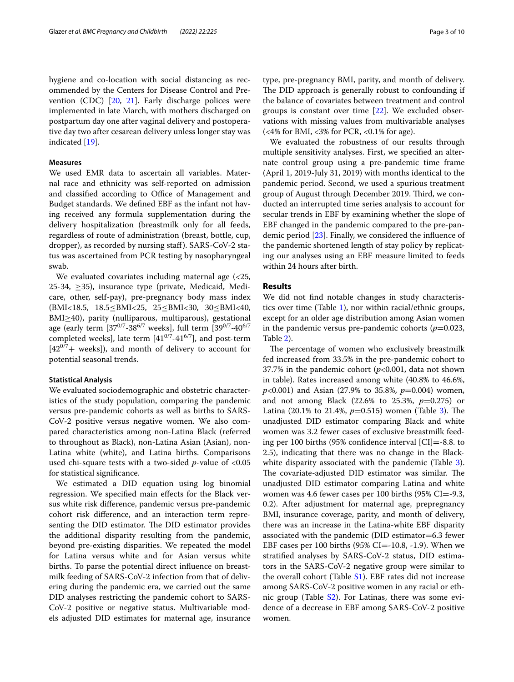hygiene and co-location with social distancing as recommended by the Centers for Disease Control and Prevention (CDC)  $[20, 21]$  $[20, 21]$  $[20, 21]$  $[20, 21]$ . Early discharge polices were implemented in late March, with mothers discharged on postpartum day one after vaginal delivery and postoperative day two after cesarean delivery unless longer stay was indicated [\[19\]](#page-8-14).

#### **Measures**

We used EMR data to ascertain all variables. Maternal race and ethnicity was self-reported on admission and classified according to Office of Management and Budget standards. We defned EBF as the infant not having received any formula supplementation during the delivery hospitalization (breastmilk only for all feeds, regardless of route of administration (breast, bottle, cup, dropper), as recorded by nursing staf). SARS-CoV-2 status was ascertained from PCR testing by nasopharyngeal swab.

We evaluated covariates including maternal age (<25, 25-34, ≥35), insurance type (private, Medicaid, Medicare, other, self-pay), pre-pregnancy body mass index (BMI<18.5, 18.5≤BMI<25, 25≤BMI<30, 30≤BMI<40, BMI≥40), parity (nulliparous, multiparous), gestational age (early term  $[37^{0/7}$ -38<sup>6/7</sup> weeks], full term  $[39^{0/7}$ -40<sup>6/7</sup> completed weeks], late term  $[41^{0/7} - 41^{6/7}]$ , and post-term  $[42^{0/7}+$  weeks]), and month of delivery to account for potential seasonal trends.

#### **Statistical Analysis**

We evaluated sociodemographic and obstetric characteristics of the study population, comparing the pandemic versus pre-pandemic cohorts as well as births to SARS-CoV-2 positive versus negative women. We also compared characteristics among non-Latina Black (referred to throughout as Black), non-Latina Asian (Asian), non-Latina white (white), and Latina births. Comparisons used chi-square tests with a two-sided *p*-value of <0.05 for statistical signifcance.

We estimated a DID equation using log binomial regression. We specifed main efects for the Black versus white risk diference, pandemic versus pre-pandemic cohort risk diference, and an interaction term representing the DID estimator. The DID estimator provides the additional disparity resulting from the pandemic, beyond pre-existing disparities. We repeated the model for Latina versus white and for Asian versus white births. To parse the potential direct infuence on breastmilk feeding of SARS-CoV-2 infection from that of delivering during the pandemic era, we carried out the same DID analyses restricting the pandemic cohort to SARS-CoV-2 positive or negative status. Multivariable models adjusted DID estimates for maternal age, insurance type, pre-pregnancy BMI, parity, and month of delivery. The DID approach is generally robust to confounding if the balance of covariates between treatment and control groups is constant over time [[22\]](#page-8-17). We excluded observations with missing values from multivariable analyses (<4% for BMI, <3% for PCR, <0.1% for age).

We evaluated the robustness of our results through multiple sensitivity analyses. First, we specifed an alternate control group using a pre-pandemic time frame (April 1, 2019-July 31, 2019) with months identical to the pandemic period. Second, we used a spurious treatment group of August through December 2019. Third, we conducted an interrupted time series analysis to account for secular trends in EBF by examining whether the slope of EBF changed in the pandemic compared to the pre-pandemic period [[23\]](#page-8-18). Finally, we considered the infuence of the pandemic shortened length of stay policy by replicating our analyses using an EBF measure limited to feeds within 24 hours after birth.

## **Results**

We did not fnd notable changes in study characteristics over time (Table [1](#page-3-0)), nor within racial/ethnic groups, except for an older age distribution among Asian women in the pandemic versus pre-pandemic cohorts  $(p=0.023,$ Table [2](#page-4-0)).

The percentage of women who exclusively breastmilk fed increased from 33.5% in the pre-pandemic cohort to 37.7% in the pandemic cohort (*p*<0.001, data not shown in table). Rates increased among white (40.8% to 46.6%, *p*<0.001) and Asian (27.9% to 35.8%, *p*=0.004) women, and not among Black (22.6% to 25.3%, *p*=0.275) or Latina (20.1% to 21.4%,  $p=0.515$ ) women (Table [3](#page-5-0)). The unadjusted DID estimator comparing Black and white women was 3.2 fewer cases of exclusive breastmilk feeding per 100 births (95% confdence interval [CI]=-8.8. to 2.5), indicating that there was no change in the Black-white disparity associated with the pandemic (Table [3](#page-5-0)). The covariate-adjusted DID estimator was similar. The unadjusted DID estimator comparing Latina and white women was 4.6 fewer cases per 100 births (95% CI=-9.3, 0.2). After adjustment for maternal age, prepregnancy BMI, insurance coverage, parity, and month of delivery, there was an increase in the Latina-white EBF disparity associated with the pandemic (DID estimator=6.3 fewer EBF cases per 100 births  $(95\%$  CI=-10.8, -1.9). When we stratifed analyses by SARS-CoV-2 status, DID estimators in the SARS-CoV-2 negative group were similar to the overall cohort (Table [S1](#page-7-0)). EBF rates did not increase among SARS-CoV-2 positive women in any racial or ethnic group (Table  $S_2$ ). For Latinas, there was some evidence of a decrease in EBF among SARS-CoV-2 positive women.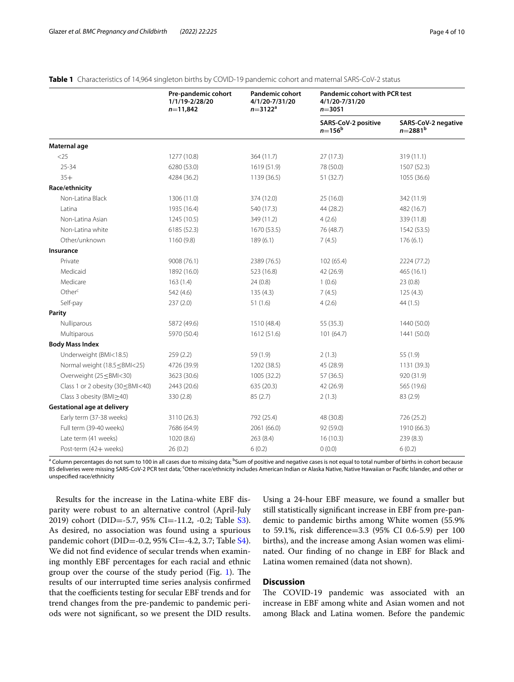|                                                                                                                                  | Pre-pandemic cohort<br>1/1/19-2/28/20<br>$n=11,842$ | <b>Pandemic cohort</b><br>4/1/20-7/31/20<br>$n = 3122^a$ | <b>Pandemic cohort with PCR test</b><br>4/1/20-7/31/20<br>$n = 3051$ |                                       |  |  |
|----------------------------------------------------------------------------------------------------------------------------------|-----------------------------------------------------|----------------------------------------------------------|----------------------------------------------------------------------|---------------------------------------|--|--|
|                                                                                                                                  |                                                     |                                                          | SARS-CoV-2 positive<br>$n = 156^{\rm b}$                             | SARS-CoV-2 negative<br>$n = 2881^{b}$ |  |  |
| Maternal age                                                                                                                     |                                                     |                                                          |                                                                      |                                       |  |  |
| $<$ 25                                                                                                                           | 1277 (10.8)                                         | 364 (11.7)                                               | 27(17.3)                                                             | 319 (11.1)                            |  |  |
| $25 - 34$                                                                                                                        | 6280 (53.0)                                         | 1619 (51.9)                                              | 78 (50.0)                                                            | 1507 (52.3)                           |  |  |
| $35+$                                                                                                                            | 4284 (36.2)                                         | 1139 (36.5)                                              | 51 (32.7)                                                            | 1055 (36.6)                           |  |  |
| Race/ethnicity                                                                                                                   |                                                     |                                                          |                                                                      |                                       |  |  |
| Non-Latina Black                                                                                                                 | 1306 (11.0)                                         | 374 (12.0)                                               | 25 (16.0)                                                            | 342 (11.9)                            |  |  |
| Latina                                                                                                                           | 1935 (16.4)                                         | 540 (17.3)                                               | 44 (28.2)                                                            | 482 (16.7)                            |  |  |
| Non-Latina Asian                                                                                                                 | 1245 (10.5)                                         | 349 (11.2)                                               | 4(2.6)                                                               | 339 (11.8)                            |  |  |
| Non-Latina white                                                                                                                 | 6185 (52.3)                                         | 1670 (53.5)                                              | 76 (48.7)                                                            | 1542 (53.5)                           |  |  |
| Other/unknown                                                                                                                    | 1160 (9.8)                                          | 189(6.1)                                                 | 7(4.5)                                                               | 176(6.1)                              |  |  |
| Insurance                                                                                                                        |                                                     |                                                          |                                                                      |                                       |  |  |
| Private                                                                                                                          | 9008 (76.1)                                         | 2389 (76.5)                                              | 102 (65.4)                                                           | 2224 (77.2)                           |  |  |
| Medicaid                                                                                                                         | 1892 (16.0)                                         | 523 (16.8)                                               | 42 (26.9)                                                            | 465 (16.1)                            |  |  |
| Medicare                                                                                                                         | 163(1.4)                                            | 24(0.8)                                                  | 1(0.6)                                                               | 23(0.8)                               |  |  |
| Other <sup>c</sup>                                                                                                               | 542 (4.6)                                           | 135(4.3)                                                 | 7(4.5)                                                               | 125(4.3)                              |  |  |
| Self-pay                                                                                                                         | 237(2.0)                                            | 51(1.6)                                                  | 4(2.6)                                                               | 44 (1.5)                              |  |  |
| Parity                                                                                                                           |                                                     |                                                          |                                                                      |                                       |  |  |
| Nulliparous                                                                                                                      | 5872 (49.6)                                         | 1510 (48.4)                                              | 55 (35.3)                                                            | 1440 (50.0)                           |  |  |
| Multiparous                                                                                                                      | 5970 (50.4)                                         | 1612 (51.6)                                              | 101 (64.7)                                                           | 1441 (50.0)                           |  |  |
| <b>Body Mass Index</b>                                                                                                           |                                                     |                                                          |                                                                      |                                       |  |  |
| Underweight (BMI<18.5)                                                                                                           | 259(2.2)                                            | 59 (1.9)                                                 | 2(1.3)                                                               | 55 (1.9)                              |  |  |
| Normal weight (18.5 ≤ BMI<25)                                                                                                    | 4726 (39.9)                                         | 1202 (38.5)                                              | 45 (28.9)                                                            | 1131 (39.3)                           |  |  |
| Overweight (25 ≤BMI<30)                                                                                                          | 3623 (30.6)                                         | 1005 (32.2)                                              | 57(36.5)                                                             | 920 (31.9)                            |  |  |
| Class 1 or 2 obesity (30 <bmi<40)< td=""><td>2443 (20.6)</td><td>635 (20.3)</td><td>42 (26.9)</td><td>565 (19.6)</td></bmi<40)<> | 2443 (20.6)                                         | 635 (20.3)                                               | 42 (26.9)                                                            | 565 (19.6)                            |  |  |
| Class 3 obesity (BMI>40)                                                                                                         | 330 (2.8)                                           | 85(2.7)                                                  | 2(1.3)                                                               | 83 (2.9)                              |  |  |
| <b>Gestational age at delivery</b>                                                                                               |                                                     |                                                          |                                                                      |                                       |  |  |
| Early term (37-38 weeks)                                                                                                         | 3110 (26.3)                                         | 792 (25.4)                                               | 48 (30.8)                                                            | 726 (25.2)                            |  |  |
| Full term (39-40 weeks)                                                                                                          | 7686 (64.9)                                         | 2061 (66.0)                                              | 92 (59.0)                                                            | 1910 (66.3)                           |  |  |
| Late term (41 weeks)                                                                                                             | 1020 (8.6)                                          | 263(8.4)                                                 | 16(10.3)                                                             | 239(8.3)                              |  |  |
| Post-term (42+ weeks)                                                                                                            | 26(0.2)                                             | 6(0.2)                                                   | 0(0.0)                                                               | 6(0.2)                                |  |  |

<span id="page-3-0"></span>**Table 1** Characteristics of 14,964 singleton births by COVID-19 pandemic cohort and maternal SARS-CoV-2 status

<sup>a</sup> Column percentages do not sum to 100 in all cases due to missing data; <sup>b</sup>Sum of positive and negative cases is not equal to total number of births in cohort because 85 deliveries were missing SARS-CoV-2 PCR test data; <sup>c</sup>Other race/ethnicity includes American Indian or Alaska Native, Native Hawaiian or Pacific Islander, and other or unspecifed race/ethnicity

Results for the increase in the Latina-white EBF disparity were robust to an alternative control (April-July 2019) cohort (DID=-5.7, 95% CI=-11.2, -0.2; Table [S3](#page-7-0)). As desired, no association was found using a spurious pandemic cohort (DID=-0.2, 95% CI=-4.2, 3.7; Table [S4](#page-7-0)). We did not fnd evidence of secular trends when examining monthly EBF percentages for each racial and ethnic group over the course of the study period (Fig. [1\)](#page-5-1). The results of our interrupted time series analysis confrmed that the coefficients testing for secular EBF trends and for trend changes from the pre-pandemic to pandemic periods were not signifcant, so we present the DID results. Using a 24-hour EBF measure, we found a smaller but still statistically signifcant increase in EBF from pre-pandemic to pandemic births among White women (55.9% to 59.1%, risk diference=3.3 (95% CI 0.6-5.9) per 100 births), and the increase among Asian women was eliminated. Our fnding of no change in EBF for Black and Latina women remained (data not shown).

## **Discussion**

The COVID-19 pandemic was associated with an increase in EBF among white and Asian women and not among Black and Latina women. Before the pandemic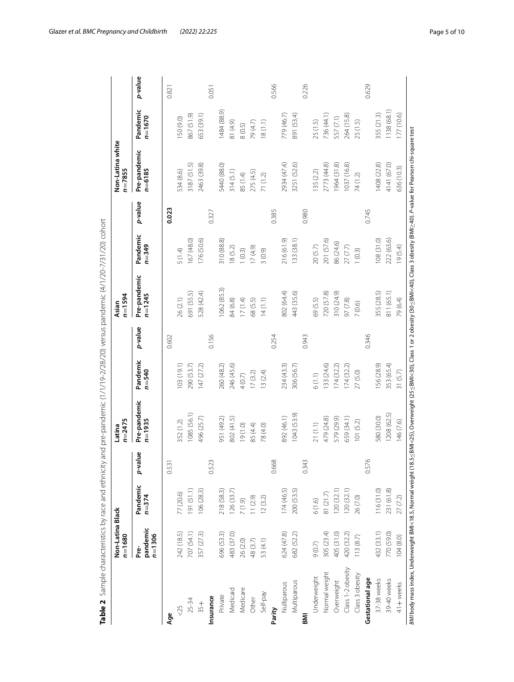|                                                                                                                                                                                                                                    | Non-Latina Black<br>$n = 1680$ |                       |           | $n = 2475$<br>Latina       |                       |         | $n = 1594$<br>Asian        |                       |         | Non-Latina white<br>$n = 7855$ |                        |         |
|------------------------------------------------------------------------------------------------------------------------------------------------------------------------------------------------------------------------------------|--------------------------------|-----------------------|-----------|----------------------------|-----------------------|---------|----------------------------|-----------------------|---------|--------------------------------|------------------------|---------|
|                                                                                                                                                                                                                                    | pandemic<br>$n = 1306$<br>Pre- | Pandemic<br>$n = 374$ | p-value   | Pre-pandemic<br>$n = 1935$ | Pandemic<br>$n = 540$ | p-value | Pre-pandemic<br>$n = 1245$ | Pandemic<br>$n = 349$ | p-value | Pre-pandemic<br>$n = 6185$     | Pandemic<br>$n = 1670$ | p-value |
| Age                                                                                                                                                                                                                                |                                |                       | 0.531     |                            |                       | 0.602   |                            |                       | 0.023   |                                |                        | 0.821   |
| &05                                                                                                                                                                                                                                | 242 (18.5)                     | 77 (20.6)             |           | 352 (1.2)                  | 103(19.1)             |         | 26 (2.1)                   | 5 (1.4)               |         | 534 (8.6)                      | 50 (9.0)               |         |
| 25-34                                                                                                                                                                                                                              | 707 (54.1)                     | 91 (51.1)             |           | 1085 (56.1)                | 290 (53.7)            |         | 691 (55.5)                 | 167 (48.0)            |         | 3187 (51.5)                    | 867 (51.9)             |         |
| $+55$                                                                                                                                                                                                                              | 357 (27.3)                     | 106(28.3)             |           | 496 (25.7)                 | 147(272)              |         | 528 (42.4)                 | 176 (50.6)            |         | 2463 (39.8)                    | 653 (39.1)             |         |
| Insurance                                                                                                                                                                                                                          |                                |                       | 0.523     |                            |                       | 0.156   |                            |                       | 0.327   |                                |                        | 0.051   |
| Private                                                                                                                                                                                                                            | 696 (53.3)                     | 218 (58.3)            |           | 951 (49.2)                 | 260 (48.2)            |         | 062 (85.3)                 | 310 (88.8)            |         | 5440 (88.0)                    | 1484 (88.9)            |         |
| Medicaid                                                                                                                                                                                                                           | 483 (37.0)                     | 26 (33.7)             |           | 802 (41.5)                 | 246 (45.6)            |         | 84 (6.8)                   | 18(5.2)               |         | 314(5.1)                       | 81 (4.9)               |         |
| Medicare                                                                                                                                                                                                                           | 26 (2.0)                       | 7(1.9)                |           | 19(1.0)                    | 4(0.7)                |         | 17(1.4)                    | 1(0.3)                |         | 85 (1.4)                       | 8(0.5)                 |         |
| Other                                                                                                                                                                                                                              | 48 (3.7)                       | 11(2.9)               |           | 85 (4.4)                   | 17(3.2)               |         | 68 (5.5)                   | $(6.4)$ $(1)$         |         | 275 (4.5)                      | 79 (4.7)               |         |
| Self-pay                                                                                                                                                                                                                           | 53 (4.1)                       | 12(3.2)               |           | 78 (4.0)                   | 13(2.4)               |         | 14(1.1)                    | 3(0.9)                |         | 71 (1.2)                       | 18(1.1)                |         |
| Parity                                                                                                                                                                                                                             |                                |                       | ∞<br>0.66 |                            |                       | 0.254   |                            |                       | 0.385   |                                |                        | 0.566   |
| Nulliparous                                                                                                                                                                                                                        | 624 (47.8)                     | 174(46.5)             |           | 892 (46.1)                 | 234 (43.3)            |         | 802 (64.4)                 | 216 (61.9)            |         | 2934 (47.4)                    | 779 (46.7)             |         |
| Multiparous                                                                                                                                                                                                                        | 682 (52.2)                     | 200 (53.5)            |           | 1043 (53.9)                | 306 (56.7)            |         | 443 (35.6)                 | 133 (38.1)            |         | 3251 (52.6)                    | 891 (53.4)             |         |
| ΜI                                                                                                                                                                                                                                 |                                |                       | 0.343     |                            |                       | 0.943   |                            |                       | 0.980   |                                |                        | 0.226   |
| Underweight                                                                                                                                                                                                                        | 9(0.7)                         | 6(1.6)                |           | 21(1.1)                    | 6(1.1)                |         | 69 (5.5)                   | 20(5.7)               |         | 35 (2.2)                       | 25 (1.5)               |         |
| Normal weight                                                                                                                                                                                                                      | 305 (23.4)                     | 81 (21.7)             |           | 479 (24.8)                 | 133 (24.6)            |         | 720 (57.8)                 | 201 (57.6)            |         | 2773 (44.8)                    | 736 (44.1)             |         |
| Overweight                                                                                                                                                                                                                         | 405 (31.0)                     | 20 (32.1)             |           | 579 (29.9)                 | 174(32.2)             |         | 310 (24.9)                 | 86 (24.6)             |         | 964 (31.8)                     | 557 (7.1)              |         |
| Class 1-2 obesity                                                                                                                                                                                                                  | 420 (32.2)                     | 120(32.1)             |           | 659 (34.1)                 | 174(32.2)             |         | 97 (7.8)                   | 27(7.7)               |         | 1037 (16.8)                    | 264 (15.8)             |         |
| Class 3 obesity                                                                                                                                                                                                                    | 113(8.7)                       | 26 (7.0)              |           | 101(5.2)                   | 27(5.0)               |         | 7(0.6)                     | 1(0.3)                |         | 74 (1.2)                       | 25 (1.5)               |         |
| Gestational age                                                                                                                                                                                                                    |                                |                       | 0.576     |                            |                       | 0.346   |                            |                       | 0.745   |                                |                        | 0.629   |
| 37-38 weeks                                                                                                                                                                                                                        | 432 (33.1)                     | 116(31.0)             |           | 580 (30.0)                 | 156 (28.9)            |         | 355 (28.5)                 | 108(31.0)             |         | 1408 (22.8)                    | 355 (21.3)             |         |
| 39-40 weeks                                                                                                                                                                                                                        | 770 (59.0)                     | 231 (61.8)            |           | 1208 (62.5)                | 353 (65.4)            |         | 811 (65.1)                 | 222 (63.6)            |         | 4141 (67.0)                    | 1138 (68.1)            |         |
| 41+ weeks                                                                                                                                                                                                                          | 104(8.0)                       | 27(7.2)               |           | 146 (7.6)                  | 31(5.7)               |         | 79 (6.4)                   | 19 (5.4)              |         | 636 (10.3)                     | 177 (10.6)             |         |
| <i>BMI</i> body mass index Underweight BMI<18.5, Normal weight (18.5 <u><b< u="">MI&lt;25), Overweight (25≤BMI&lt;20), Class 1 or 2 obesity (30≤BMI&lt;40), Class 3 obesity (BMI≥40). P-value for Pearson chi-square test</b<></u> |                                |                       |           |                            |                       |         |                            |                       |         |                                |                        |         |

<span id="page-4-0"></span>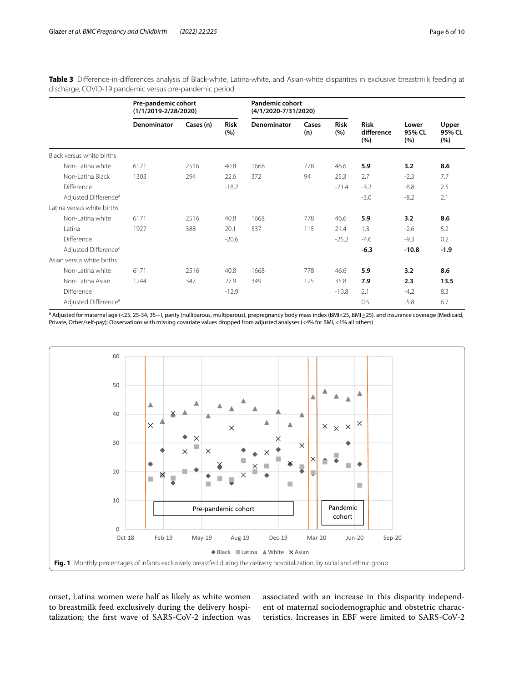<span id="page-5-0"></span>**Table 3** Diference-in-diferences analysis of Black-white, Latina-white, and Asian-white disparities in exclusive breastmilk feeding at discharge, COVID-19 pandemic versus pre-pandemic period

|                                  | Pre-pandemic cohort<br>$(1/1/2019 - 2/28/2020)$ |           |                    | <b>Pandemic cohort</b><br>(4/1/2020-7/31/2020) |              |                    |                                  |                        |                        |
|----------------------------------|-------------------------------------------------|-----------|--------------------|------------------------------------------------|--------------|--------------------|----------------------------------|------------------------|------------------------|
|                                  | Denominator                                     | Cases (n) | <b>Risk</b><br>(%) | Denominator                                    | Cases<br>(n) | <b>Risk</b><br>(%) | <b>Risk</b><br>difference<br>(%) | Lower<br>95% CL<br>(%) | Upper<br>95% CL<br>(%) |
| Black versus white births        |                                                 |           |                    |                                                |              |                    |                                  |                        |                        |
| Non-Latina white                 | 6171                                            | 2516      | 40.8               | 1668                                           | 778          | 46.6               | 5.9                              | 3.2                    | 8.6                    |
| Non-Latina Black                 | 1303                                            | 294       | 22.6               | 372                                            | 94           | 25.3               | 2.7                              | $-2.3$                 | 7.7                    |
| Difference                       |                                                 |           | $-18.2$            |                                                |              | $-21.4$            | $-3.2$                           | $-8.8$                 | 2.5                    |
| Adjusted Difference <sup>a</sup> |                                                 |           |                    |                                                |              |                    | $-3.0$                           | $-8.2$                 | 2.1                    |
| Latina versus white births       |                                                 |           |                    |                                                |              |                    |                                  |                        |                        |
| Non-Latina white                 | 6171                                            | 2516      | 40.8               | 1668                                           | 778          | 46.6               | 5.9                              | 3.2                    | 8.6                    |
| Latina                           | 1927                                            | 388       | 20.1               | 537                                            | 115          | 21.4               | 1.3                              | $-2.6$                 | 5.2                    |
| <b>Difference</b>                |                                                 |           | $-20.6$            |                                                |              | $-25.2$            | $-4.6$                           | $-9.3$                 | 0.2                    |
| Adjusted Difference <sup>a</sup> |                                                 |           |                    |                                                |              |                    | $-6.3$                           | $-10.8$                | $-1.9$                 |
| Asian versus white births        |                                                 |           |                    |                                                |              |                    |                                  |                        |                        |
| Non-Latina white                 | 6171                                            | 2516      | 40.8               | 1668                                           | 778          | 46.6               | 5.9                              | 3.2                    | 8.6                    |
| Non-Latina Asian                 | 1244                                            | 347       | 27.9               | 349                                            | 125          | 35.8               | 7.9                              | 2.3                    | 13.5                   |
| Difference                       |                                                 |           | $-12.9$            |                                                |              | $-10.8$            | 2.1                              | $-4.2$                 | 8.3                    |
| Adjusted Difference <sup>a</sup> |                                                 |           |                    |                                                |              |                    | 0.5                              | $-5.8$                 | 6.7                    |

a Adjusted for maternal age (<25, 25-34, 35+), parity (nulliparous, multiparous), prepregnancy body mass index (BMI<25, BMI≥25), and insurance coverage (Medicaid, Private, Other/self-pay); Observations with missing covariate values dropped from adjusted analyses (<4% for BMI, <1% all others)



<span id="page-5-1"></span>onset, Latina women were half as likely as white women to breastmilk feed exclusively during the delivery hospitalization; the frst wave of SARS-CoV-2 infection was associated with an increase in this disparity independent of maternal sociodemographic and obstetric characteristics. Increases in EBF were limited to SARS-CoV-2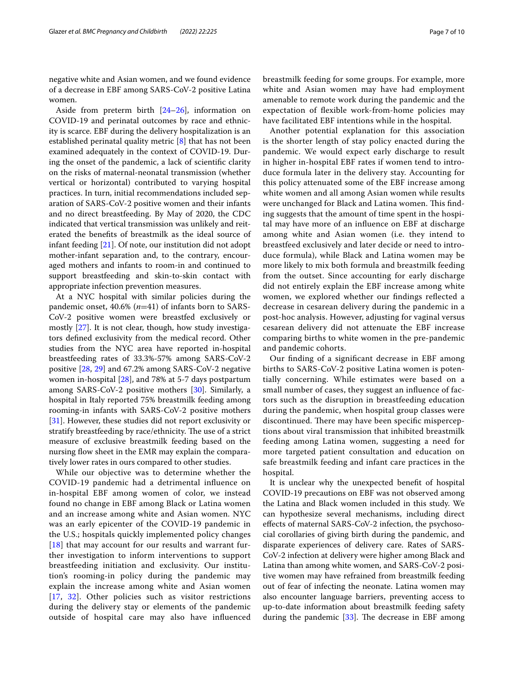negative white and Asian women, and we found evidence of a decrease in EBF among SARS-CoV-2 positive Latina women.

Aside from preterm birth  $[24–26]$  $[24–26]$ , information on COVID-19 and perinatal outcomes by race and ethnicity is scarce. EBF during the delivery hospitalization is an established perinatal quality metric [[8\]](#page-8-6) that has not been examined adequately in the context of COVID-19. During the onset of the pandemic, a lack of scientifc clarity on the risks of maternal-neonatal transmission (whether vertical or horizontal) contributed to varying hospital practices. In turn, initial recommendations included separation of SARS-CoV-2 positive women and their infants and no direct breastfeeding. By May of 2020, the CDC indicated that vertical transmission was unlikely and reiterated the benefts of breastmilk as the ideal source of infant feeding [\[21](#page-8-16)]. Of note, our institution did not adopt mother-infant separation and, to the contrary, encouraged mothers and infants to room-in and continued to support breastfeeding and skin-to-skin contact with appropriate infection prevention measures.

At a NYC hospital with similar policies during the pandemic onset, 40.6% (*n*=41) of infants born to SARS-CoV-2 positive women were breastfed exclusively or mostly [[27](#page-8-21)]. It is not clear, though, how study investigators defned exclusivity from the medical record. Other studies from the NYC area have reported in-hospital breastfeeding rates of 33.3%-57% among SARS-CoV-2 positive [[28](#page-8-22), [29](#page-8-23)] and 67.2% among SARS-CoV-2 negative women in-hospital [[28\]](#page-8-22), and 78% at 5-7 days postpartum among SARS-CoV-2 positive mothers [\[30](#page-8-24)]. Similarly, a hospital in Italy reported 75% breastmilk feeding among rooming-in infants with SARS-CoV-2 positive mothers [[31\]](#page-9-0). However, these studies did not report exclusivity or stratify breastfeeding by race/ethnicity. The use of a strict measure of exclusive breastmilk feeding based on the nursing flow sheet in the EMR may explain the comparatively lower rates in ours compared to other studies.

While our objective was to determine whether the COVID-19 pandemic had a detrimental infuence on in-hospital EBF among women of color, we instead found no change in EBF among Black or Latina women and an increase among white and Asian women. NYC was an early epicenter of the COVID-19 pandemic in the U.S.; hospitals quickly implemented policy changes [[18](#page-8-13)] that may account for our results and warrant further investigation to inform interventions to support breastfeeding initiation and exclusivity. Our institution's rooming-in policy during the pandemic may explain the increase among white and Asian women [[17](#page-8-11), [32\]](#page-9-1). Other policies such as visitor restrictions during the delivery stay or elements of the pandemic outside of hospital care may also have infuenced breastmilk feeding for some groups. For example, more white and Asian women may have had employment amenable to remote work during the pandemic and the expectation of fexible work-from-home policies may have facilitated EBF intentions while in the hospital.

Another potential explanation for this association is the shorter length of stay policy enacted during the pandemic. We would expect early discharge to result in higher in-hospital EBF rates if women tend to introduce formula later in the delivery stay. Accounting for this policy attenuated some of the EBF increase among white women and all among Asian women while results were unchanged for Black and Latina women. This finding suggests that the amount of time spent in the hospital may have more of an infuence on EBF at discharge among white and Asian women (i.e. they intend to breastfeed exclusively and later decide or need to introduce formula), while Black and Latina women may be more likely to mix both formula and breastmilk feeding from the outset. Since accounting for early discharge did not entirely explain the EBF increase among white women, we explored whether our fndings refected a decrease in cesarean delivery during the pandemic in a post-hoc analysis. However, adjusting for vaginal versus cesarean delivery did not attenuate the EBF increase comparing births to white women in the pre-pandemic and pandemic cohorts.

Our fnding of a signifcant decrease in EBF among births to SARS-CoV-2 positive Latina women is potentially concerning. While estimates were based on a small number of cases, they suggest an infuence of factors such as the disruption in breastfeeding education during the pandemic, when hospital group classes were discontinued. There may have been specific misperceptions about viral transmission that inhibited breastmilk feeding among Latina women, suggesting a need for more targeted patient consultation and education on safe breastmilk feeding and infant care practices in the hospital.

It is unclear why the unexpected beneft of hospital COVID-19 precautions on EBF was not observed among the Latina and Black women included in this study. We can hypothesize several mechanisms, including direct efects of maternal SARS-CoV-2 infection, the psychosocial corollaries of giving birth during the pandemic, and disparate experiences of delivery care. Rates of SARS-CoV-2 infection at delivery were higher among Black and Latina than among white women, and SARS-CoV-2 positive women may have refrained from breastmilk feeding out of fear of infecting the neonate. Latina women may also encounter language barriers, preventing access to up-to-date information about breastmilk feeding safety during the pandemic  $[33]$ . The decrease in EBF among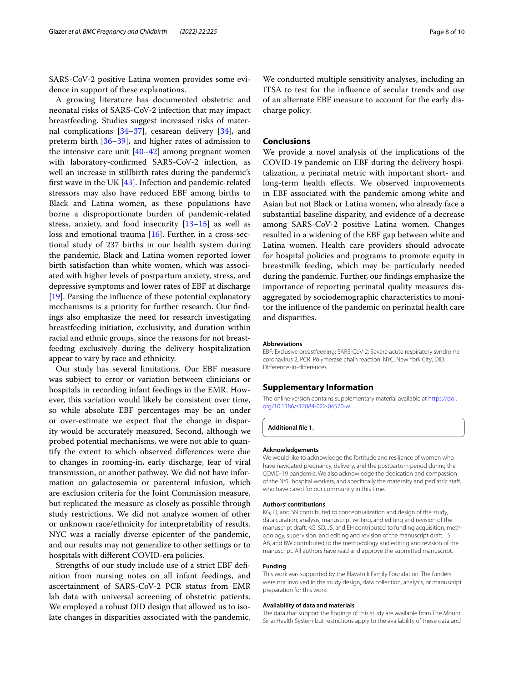SARS-CoV-2 positive Latina women provides some evidence in support of these explanations.

A growing literature has documented obstetric and neonatal risks of SARS-CoV-2 infection that may impact breastfeeding. Studies suggest increased risks of maternal complications  $[34-37]$  $[34-37]$ , cesarean delivery  $[34]$  $[34]$ , and preterm birth [\[36–](#page-9-5)[39\]](#page-9-6), and higher rates of admission to the intensive care unit  $[40-42]$  $[40-42]$  $[40-42]$  among pregnant women with laboratory-confrmed SARS-CoV-2 infection, as well an increase in stillbirth rates during the pandemic's frst wave in the UK [[43\]](#page-9-9). Infection and pandemic-related stressors may also have reduced EBF among births to Black and Latina women, as these populations have borne a disproportionate burden of pandemic-related stress, anxiety, and food insecurity [\[13](#page-8-9)[–15](#page-8-25)] as well as loss and emotional trauma [\[16](#page-8-10)]. Further, in a cross-sectional study of 237 births in our health system during the pandemic, Black and Latina women reported lower birth satisfaction than white women, which was associated with higher levels of postpartum anxiety, stress, and depressive symptoms and lower rates of EBF at discharge [[19\]](#page-8-14). Parsing the infuence of these potential explanatory mechanisms is a priority for further research. Our fndings also emphasize the need for research investigating breastfeeding initiation, exclusivity, and duration within racial and ethnic groups, since the reasons for not breastfeeding exclusively during the delivery hospitalization appear to vary by race and ethnicity.

Our study has several limitations. Our EBF measure was subject to error or variation between clinicians or hospitals in recording infant feedings in the EMR. However, this variation would likely be consistent over time, so while absolute EBF percentages may be an under or over-estimate we expect that the change in disparity would be accurately measured. Second, although we probed potential mechanisms, we were not able to quantify the extent to which observed diferences were due to changes in rooming-in, early discharge, fear of viral transmission, or another pathway. We did not have information on galactosemia or parenteral infusion, which are exclusion criteria for the Joint Commission measure, but replicated the measure as closely as possible through study restrictions. We did not analyze women of other or unknown race/ethnicity for interpretability of results. NYC was a racially diverse epicenter of the pandemic, and our results may not generalize to other settings or to hospitals with diferent COVID-era policies.

Strengths of our study include use of a strict EBF defnition from nursing notes on all infant feedings, and ascertainment of SARS-CoV-2 PCR status from EMR lab data with universal screening of obstetric patients. We employed a robust DID design that allowed us to isolate changes in disparities associated with the pandemic.

We conducted multiple sensitivity analyses, including an ITSA to test for the infuence of secular trends and use of an alternate EBF measure to account for the early discharge policy.

## **Conclusions**

We provide a novel analysis of the implications of the COVID-19 pandemic on EBF during the delivery hospitalization, a perinatal metric with important short- and long-term health effects. We observed improvements in EBF associated with the pandemic among white and Asian but not Black or Latina women, who already face a substantial baseline disparity, and evidence of a decrease among SARS-CoV-2 positive Latina women. Changes resulted in a widening of the EBF gap between white and Latina women. Health care providers should advocate for hospital policies and programs to promote equity in breastmilk feeding, which may be particularly needed during the pandemic. Further, our fndings emphasize the importance of reporting perinatal quality measures disaggregated by sociodemographic characteristics to monitor the infuence of the pandemic on perinatal health care and disparities.

#### **Abbreviations**

EBF: Exclusive breastfeeding; SARS-CoV-2: Severe acute respiratory syndrome coronavirus 2; PCR: Polymerase chain reaction; NYC: New York City; DID: Diference-in-diferences.

#### **Supplementary Information**

The online version contains supplementary material available at [https://doi.](https://doi.org/10.1186/s12884-022-04570-w) [org/10.1186/s12884-022-04570-w.](https://doi.org/10.1186/s12884-022-04570-w)

<span id="page-7-0"></span>**Additional fle 1.**

#### **Acknowledgements**

We would like to acknowledge the fortitude and resilience of women who have navigated pregnancy, delivery, and the postpartum period during the COVID-19 pandemic. We also acknowledge the dedication and compassion of the NYC hospital workers, and specifcally the maternity and pediatric staf, who have cared for our community in this time.

#### **Authors' contributions**

KG, TJ, and SN contributed to conceptualization and design of the study, data curation, analysis, manuscript writing, and editing and revision of the manuscript draft. KG, SD, JS, and EH contributed to funding acquisition, methodology, supervision, and editing and revision of the manuscript draft. TS, AB, and BW contributed to the methodology and editing and revision of the manuscript. All authors have read and approve the submitted manuscript.

#### **Funding**

This work was supported by the Blavatnik Family Foundation. The funders were not involved in the study design, data collection, analysis, or manuscript preparation for this work.

#### **Availability of data and materials**

The data that support the fndings of this study are available from The Mount Sinai Health System but restrictions apply to the availability of these data and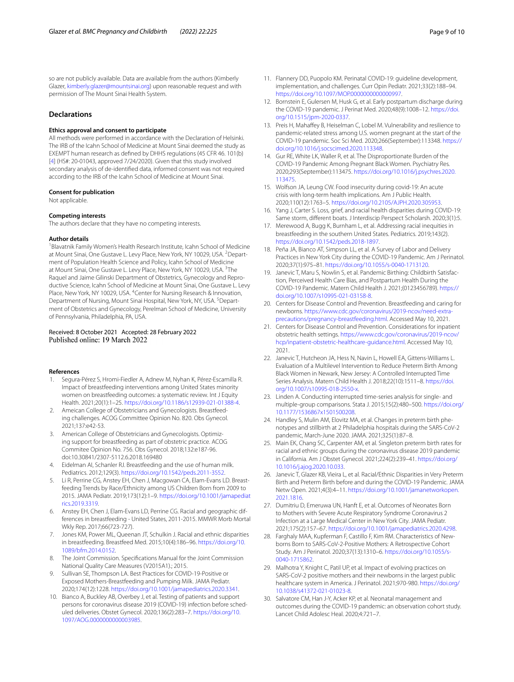so are not publicly available. Data are available from the authors (Kimberly Glazer, <kimberly.glazer@mountsinai.org>) upon reasonable request and with permission of The Mount Sinai Health System.

## **Declarations**

## **Ethics approval and consent to participate**

All methods were performed in accordance with the Declaration of Helsinki. The IRB of the Icahn School of Medicine at Mount Sinai deemed the study as EXEMPT human research as defned by DHHS regulations (45 CFR 46. 101(b) [[4](#page-8-2)] (HS#: 20-01043, approved 7/24/2020). Given that this study involved secondary analysis of de-identifed data, informed consent was not required according to the IRB of the Icahn School of Medicine at Mount Sinai.

#### **Consent for publication**

Not applicable.

#### **Competing interests**

The authors declare that they have no competing interests.

#### **Author details**

<sup>1</sup> Blavatnik Family Women's Health Research Institute, Icahn School of Medicine at Mount Sinai, One Gustave L. Levy Place, New York, NY 10029, USA. <sup>2</sup> Department of Population Health Science and Policy, Icahn School of Medicine at Mount Sinai, One Gustave L. Levy Place, New York, NY 10029, USA.<sup>3</sup>The Raquel and Jaime Gilinski Department of Obstetrics, Gynecology and Reproductive Science, Icahn School of Medicine at Mount Sinai, One Gustave L. Levy Place, New York, NY 10029, USA. <sup>4</sup> Center for Nursing Research & Innovation, Department of Nursing, Mount Sinai Hospital, New York, NY, USA. <sup>5</sup>Department of Obstetrics and Gynecology, Perelman School of Medicine, University of Pennsylvania, Philadelphia, PA, USA.

#### Received: 8 October 2021 Accepted: 28 February 2022 Published online: 19 March 2022

#### **References**

- <span id="page-8-0"></span>1. Segura-Pérez S, Hromi-Fiedler A, Adnew M, Nyhan K, Pérez-Escamilla R. Impact of breastfeeding interventions among United States minority women on breastfeeding outcomes: a systematic review. Int J Equity Health. 2021;20(1):1–25. [https://doi.org/10.1186/s12939-021-01388-4.](https://doi.org/10.1186/s12939-021-01388-4)
- <span id="page-8-1"></span>2. Ameican College of Obstetricians and Gynecologists. Breastfeeding challenges. ACOG Committee Opinion No. 820. Obs Gynecol. 2021;137:e42-53.
- 3. American College of Obstetricians and Gynecologists. Optimizing support for breastfeeding as part of obstetric practice. ACOG Commitee Opinion No. 756. Obs Gynecol. 2018;132:e187-96. doi:10.30841/2307-5112.6.2018.169480
- <span id="page-8-2"></span>4. Eidelman AI, Schanler RJ. Breastfeeding and the use of human milk. Pediatrics. 2012;129(3). [https://doi.org/10.1542/peds.2011-3552.](https://doi.org/10.1542/peds.2011-3552)
- <span id="page-8-3"></span>5. Li R, Perrine CG, Anstey EH, Chen J, Macgowan CA, Elam-Evans LD. Breastfeeding Trends by Race/Ethnicity among US Children Born from 2009 to 2015. JAMA Pediatr. 2019;173(12):1–9. [https://doi.org/10.1001/jamapediat](https://doi.org/10.1001/jamapediatrics.2019.3319) [rics.2019.3319](https://doi.org/10.1001/jamapediatrics.2019.3319).
- <span id="page-8-4"></span>6. Anstey EH, Chen J, Elam-Evans LD, Perrine CG. Racial and geographic differences in breastfeeding - United States, 2011-2015. MMWR Morb Mortal Wkly Rep. 2017;66(723-727).
- <span id="page-8-5"></span>7. Jones KM, Power ML, Queenan JT, Schulkin J. Racial and ethnic disparities in breastfeeding. Breastfeed Med. 2015;10(4):186–96. [https://doi.org/10.](https://doi.org/10.1089/bfm.2014.0152) [1089/bfm.2014.0152](https://doi.org/10.1089/bfm.2014.0152).
- <span id="page-8-6"></span>8. The Joint Commission. Specifcations Manual for the Joint Commission National Quality Care Measures (V2015A1).; 2015.
- <span id="page-8-7"></span>9. Sullivan SE, Thompson LA. Best Practices for COVID-19-Positive or Exposed Mothers-Breastfeeding and Pumping Milk. JAMA Pediatr. 2020;174(12):1228. <https://doi.org/10.1001/jamapediatrics.2020.3341>.
- <span id="page-8-12"></span>10. Bianco A, Buckley AB, Overbey J, et al. Testing of patients and support persons for coronavirus disease 2019 (COVID-19) infection before scheduled deliveries. Obstet Gynecol. 2020;136(2):283–7. [https://doi.org/10.](https://doi.org/10.1097/AOG.0000000000003985) [1097/AOG.0000000000003985.](https://doi.org/10.1097/AOG.0000000000003985)
- 11. Flannery DD, Puopolo KM. Perinatal COVID-19: guideline development, implementation, and challenges. Curr Opin Pediatr. 2021;33(2):188–94. <https://doi.org/10.1097/MOP.0000000000000997>.
- <span id="page-8-8"></span>12. Bornstein E, Gulersen M, Husk G, et al. Early postpartum discharge during the COVID-19 pandemic. J Perinat Med. 2020;48(9):1008–12. [https://doi.](https://doi.org/10.1515/jpm-2020-0337) [org/10.1515/jpm-2020-0337](https://doi.org/10.1515/jpm-2020-0337).
- <span id="page-8-9"></span>13. Preis H, Mahafey B, Heiselman C, Lobel M. Vulnerability and resilience to pandemic-related stress among U.S. women pregnant at the start of the COVID-19 pandemic. Soc Sci Med. 2020;266(September):113348. [https://](https://doi.org/10.1016/j.socscimed.2020.113348) [doi.org/10.1016/j.socscimed.2020.113348](https://doi.org/10.1016/j.socscimed.2020.113348).
- 14. Gur RE, White LK, Waller R, et al. The Disproportionate Burden of the COVID-19 Pandemic Among Pregnant Black Women. Psychiatry Res. 2020;293(September):113475. [https://doi.org/10.1016/j.psychres.2020.](https://doi.org/10.1016/j.psychres.2020.113475) [113475.](https://doi.org/10.1016/j.psychres.2020.113475)
- <span id="page-8-25"></span>15. Wolfson JA, Leung CW. Food insecurity during covid-19: An acute crisis with long-term health implications. Am J Public Health. 2020;110(12):1763–5. [https://doi.org/10.2105/AJPH.2020.305953.](https://doi.org/10.2105/AJPH.2020.305953)
- <span id="page-8-10"></span>16. Yang J, Carter S. Loss, grief, and racial health disparities during COVID-19: Same storm, diferent boats. J Interdiscip Perspect Scholarsh. 2020;3(1):5.
- <span id="page-8-11"></span>17. Merewood A, Bugg K, Burnham L, et al. Addressing racial inequities in breastfeeding in the southern United States. Pediatrics. 2019;143(2). [https://doi.org/10.1542/peds.2018-1897.](https://doi.org/10.1542/peds.2018-1897)
- <span id="page-8-13"></span>18. Peña JA, Bianco AT, Simpson LL, et al. A Survey of Labor and Delivery Practices in New York City during the COVID-19 Pandemic. Am J Perinatol. 2020;37(1):975–81. <https://doi.org/10.1055/s-0040-1713120>.
- <span id="page-8-14"></span>19. Janevic T, Maru S, Nowlin S, et al. Pandemic Birthing: Childbirth Satisfaction, Perceived Health Care Bias, and Postpartum Health During the COVID-19 Pandemic. Matern Child Health J. 2021;(0123456789). [https://](https://doi.org/10.1007/s10995-021-03158-8) [doi.org/10.1007/s10995-021-03158-8](https://doi.org/10.1007/s10995-021-03158-8).
- <span id="page-8-15"></span>20. Centers for Disease Control and Prevention. Breastfeeding and caring for newborns. [https://www.cdc.gov/coronavirus/2019-ncov/need-extra](https://www.cdc.gov/coronavirus/2019-ncov/need-extra-precautions/pregnancy-breastfeeding.html)[precautions/pregnancy-breastfeeding.html.](https://www.cdc.gov/coronavirus/2019-ncov/need-extra-precautions/pregnancy-breastfeeding.html) Accessed May 10, 2021.
- <span id="page-8-16"></span>21. Centers for Disease Control and Prevention. Considerations for inpatient obstetric health settings. [https://www.cdc.gov/coronavirus/2019-ncov/](https://www.cdc.gov/coronavirus/2019-ncov/hcp/inpatient-obstetric-healthcare-guidance.html) [hcp/inpatient-obstetric-healthcare-guidance.html](https://www.cdc.gov/coronavirus/2019-ncov/hcp/inpatient-obstetric-healthcare-guidance.html). Accessed May 10, 2021.
- <span id="page-8-17"></span>22. Janevic T, Hutcheon JA, Hess N, Navin L, Howell EA, Gittens-Williams L. Evaluation of a Multilevel Intervention to Reduce Preterm Birth Among Black Women in Newark, New Jersey: A Controlled Interrupted Time Series Analysis. Matern Child Health J. 2018;22(10):1511–8. [https://doi.](https://doi.org/10.1007/s10995-018-2550-x) [org/10.1007/s10995-018-2550-x](https://doi.org/10.1007/s10995-018-2550-x).
- <span id="page-8-18"></span>23. Linden A. Conducting interrupted time-series analysis for single- and multiple-group comparisons. Stata J. 2015;15(2):480–500. [https://doi.org/](https://doi.org/10.1177/1536867x1501500208) [10.1177/1536867x1501500208](https://doi.org/10.1177/1536867x1501500208).
- <span id="page-8-19"></span>24. Handley S, Mulin AM, Elovitz MA, et al. Changes in preterm birth phenotypes and stillbirth at 2 Philadelphia hospitals during the SARS-CoV-2 pandemic, March-June 2020. JAMA. 2021;325(1):87–8.
- 25. Main EK, Chang SC, Carpenter AM, et al. Singleton preterm birth rates for racial and ethnic groups during the coronavirus disease 2019 pandemic in California. Am J Obstet Gynecol. 2021;224(2):239–41. [https://doi.org/](https://doi.org/10.1016/j.ajog.2020.10.033) [10.1016/j.ajog.2020.10.033](https://doi.org/10.1016/j.ajog.2020.10.033).
- <span id="page-8-20"></span>26. Janevic T, Glazer KB, Vieira L, et al. Racial/Ethnic Disparities in Very Preterm Birth and Preterm Birth before and during the COVID-19 Pandemic. JAMA Netw Open. 2021;4(3):4–11. [https://doi.org/10.1001/jamanetworkopen.](https://doi.org/10.1001/jamanetworkopen.2021.1816) [2021.1816](https://doi.org/10.1001/jamanetworkopen.2021.1816).
- <span id="page-8-21"></span>27. Dumitriu D, Emeruwa UN, Hanft E, et al. Outcomes of Neonates Born to Mothers with Severe Acute Respiratory Syndrome Coronavirus 2 Infection at a Large Medical Center in New York City. JAMA Pediatr. 2021;175(2):157–67. [https://doi.org/10.1001/jamapediatrics.2020.4298.](https://doi.org/10.1001/jamapediatrics.2020.4298)
- <span id="page-8-22"></span>28. Farghaly MAA, Kupferman F, Castillo F, Kim RM. Characteristics of Newborns Born to SARS-CoV-2-Positive Mothers: A Retrospective Cohort Study. Am J Perinatol. 2020;37(13):1310–6. [https://doi.org/10.1055/s-](https://doi.org/10.1055/s-0040-1715862)[0040-1715862](https://doi.org/10.1055/s-0040-1715862).
- <span id="page-8-23"></span>29. Malhotra Y, Knight C, Patil UP, et al. Impact of evolving practices on SARS-CoV-2 positive mothers and their newborns in the largest public healthcare system in America. J Perinatol. 2021;970-980. [https://doi.org/](https://doi.org/10.1038/s41372-021-01023-8) [10.1038/s41372-021-01023-8](https://doi.org/10.1038/s41372-021-01023-8).
- <span id="page-8-24"></span>30. Salvatore CM, Han J-Y, Acker KP, et al. Neonatal management and outcomes during the COVID-19 pandemic: an observation cohort study. Lancet Child Adolesc Heal. 2020;4:721–7.